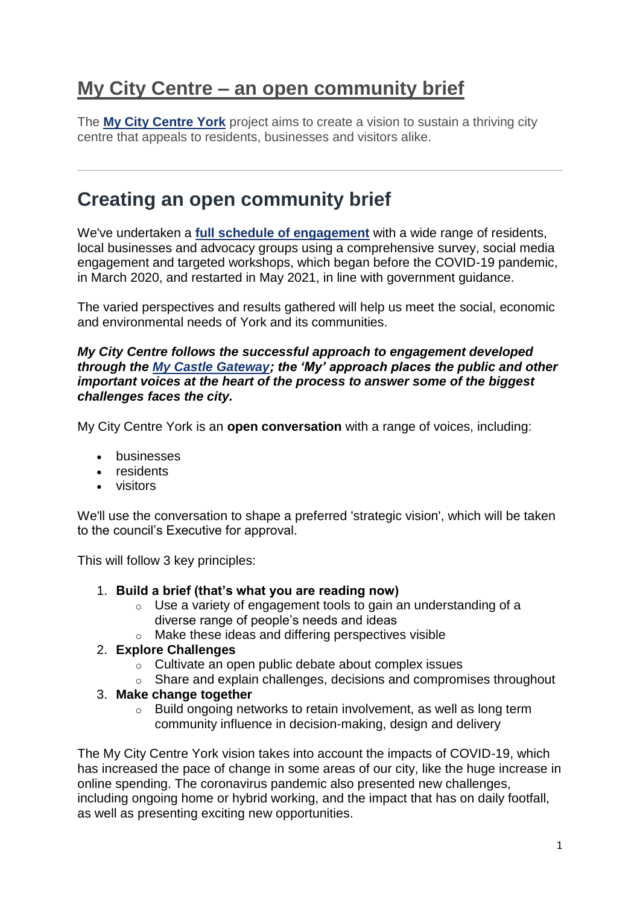## **My City Centre – an open community brief**

The **[My City Centre York](https://www.york.gov.uk/MyCityCentreYork)** project aims to create a vision to sustain a thriving city centre that appeals to residents, businesses and visitors alike.

### **Creating an open community brief**

We've undertaken a **[full schedule of engagement](https://www.york.gov.uk/city-centre-york-2/city-centre-york-open-community-brief/2#summary)** with a wide range of residents, local businesses and advocacy groups using a comprehensive survey, social media engagement and targeted workshops, which began before the COVID-19 pandemic, in March 2020, and restarted in May 2021, in line with government guidance.

The varied perspectives and results gathered will help us meet the social, economic and environmental needs of York and its communities.

#### *My City Centre follows the successful approach to engagement developed through the [My Castle Gateway;](https://www.york.gov.uk/CastleGateway) the 'My' approach places the public and other important voices at the heart of the process to answer some of the biggest challenges faces the city.*

My City Centre York is an **open conversation** with a range of voices, including:

- **businesses**
- residents
- visitors

We'll use the conversation to shape a preferred 'strategic vision', which will be taken to the council's Executive for approval.

This will follow 3 key principles:

- 1. **Build a brief (that's what you are reading now)**
	- o Use a variety of engagement tools to gain an understanding of a diverse range of people's needs and ideas
	- o Make these ideas and differing perspectives visible

#### 2. **Explore Challenges**

- o Cultivate an open public debate about complex issues
- o Share and explain challenges, decisions and compromises throughout

#### 3. **Make change together**

o Build ongoing networks to retain involvement, as well as long term community influence in decision-making, design and delivery

The My City Centre York vision takes into account the impacts of COVID-19, which has increased the pace of change in some areas of our city, like the huge increase in online spending. The coronavirus pandemic also presented new challenges, including ongoing home or hybrid working, and the impact that has on daily footfall, as well as presenting exciting new opportunities.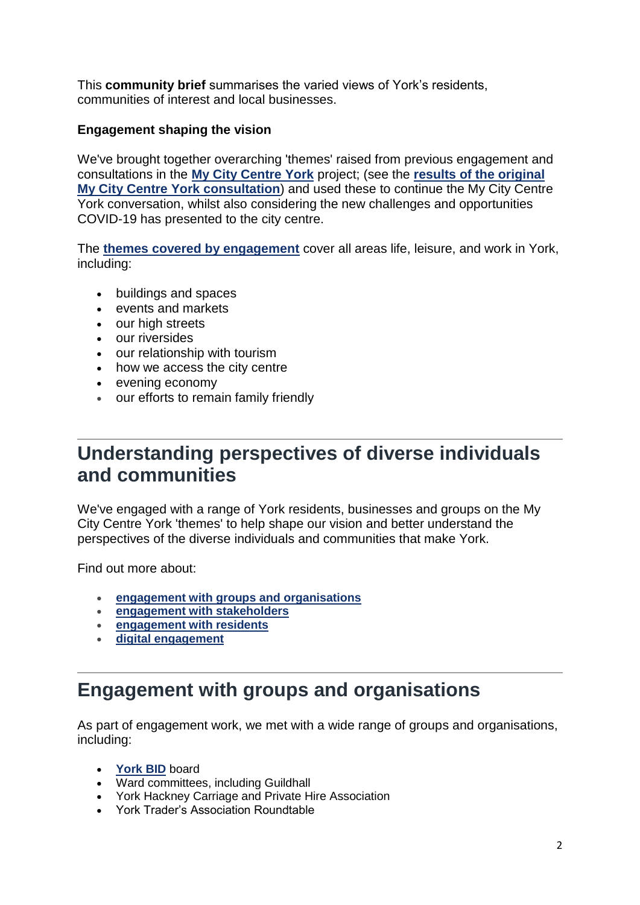This **community brief** summarises the varied views of York's residents, communities of interest and local businesses.

#### **Engagement shaping the vision**

We've brought together overarching 'themes' raised from previous engagement and consultations in the **[My City Centre York](https://www.york.gov.uk/MyCityCentreYork)** project; (see the **[results of the original](https://democracy.york.gov.uk/documents/s149210/Annex%205%20My%20City%20Centre%202020%20Insight%20FINAL.pdf)  [My City Centre York consultation](https://democracy.york.gov.uk/documents/s149210/Annex%205%20My%20City%20Centre%202020%20Insight%20FINAL.pdf)**) and used these to continue the My City Centre York conversation, whilst also considering the new challenges and opportunities COVID-19 has presented to the city centre.

The **[themes covered by engagement](https://www.york.gov.uk/city-centre-york-2/city-centre-york-open-community-brief/3)** cover all areas life, leisure, and work in York, including:

- buildings and spaces
- events and markets
- our high streets
- our riversides
- our relationship with tourism
- how we access the city centre
- evening economy
- our efforts to remain family friendly

### **Understanding perspectives of diverse individuals and communities**

We've engaged with a range of York residents, businesses and groups on the My City Centre York 'themes' to help shape our vision and better understand the perspectives of the diverse individuals and communities that make York.

Find out more about:

- **[engagement with groups and organisations](https://www.york.gov.uk/city-centre-york-2/city-centre-york-open-community-brief/2#groupsandorgs)**
- **[engagement with stakeholders](https://www.york.gov.uk/city-centre-york-2/city-centre-york-open-community-brief/2#stakeholder)**
- **[engagement with residents](https://www.york.gov.uk/city-centre-york-2/city-centre-york-open-community-brief/2#residents)**
- **[digital engagement](https://www.york.gov.uk/city-centre-york-2/city-centre-york-open-community-brief/2#digital)**

# **Engagement with groups and organisations**

As part of engagement work, we met with a wide range of groups and organisations, including:

- **[York BID](https://www.theyorkbid.com/)** board
- Ward committees, including Guildhall
- York Hackney Carriage and Private Hire Association
- York Trader's Association Roundtable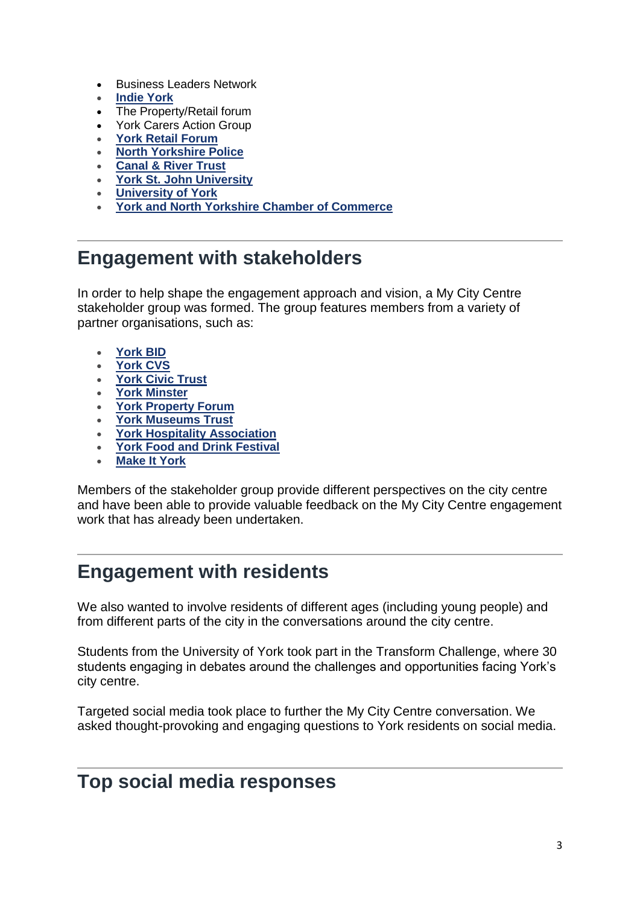- Business Leaders Network
- **[Indie York](https://www.indieyork.co.uk/)**
- The Property/Retail forum
- York Carers Action Group
- **[York Retail Forum](https://yorkretailforum.co.uk/)**
- **[North Yorkshire Police](https://www.northyorkshire.police.uk/)**
- **[Canal & River Trust](https://canalrivertrust.org.uk/)**
- **[York St. John University](https://www.yorksj.ac.uk/)**
- **[University of York](https://www.york.ac.uk/)**
- **[York and North Yorkshire Chamber of Commerce](https://www.wnychamber.co.uk/york-north-yorkshire-chamber/)**

### **Engagement with stakeholders**

In order to help shape the engagement approach and vision, a My City Centre stakeholder group was formed. The group features members from a variety of partner organisations, such as:

- **[York BID](https://www.theyorkbid.com/)**
- **[York CVS](https://www.yorkcvs.org.uk/)**
- **[York Civic Trust](https://yorkcivictrust.co.uk/)**
- **[York Minster](https://yorkminster.org/)**
- **[York Property Forum](https://www.wnychamber.co.uk/york-property-forum/)**
- **[York Museums Trust](https://www.yorkmuseumstrust.org.uk/)**
- **[York Hospitality Association](https://www.hospitalityyork.org/)**
- **[York Food and Drink Festival](https://www.yorkfoodfestival.com/)**
- **[Make It York](https://www.makeityork.com/)**

Members of the stakeholder group provide different perspectives on the city centre and have been able to provide valuable feedback on the My City Centre engagement work that has already been undertaken.

#### **Engagement with residents**

We also wanted to involve residents of different ages (including young people) and from different parts of the city in the conversations around the city centre.

Students from the University of York took part in the Transform Challenge, where 30 students engaging in debates around the challenges and opportunities facing York's city centre.

Targeted social media took place to further the My City Centre conversation. We asked thought-provoking and engaging questions to York residents on social media.

#### **Top social media responses**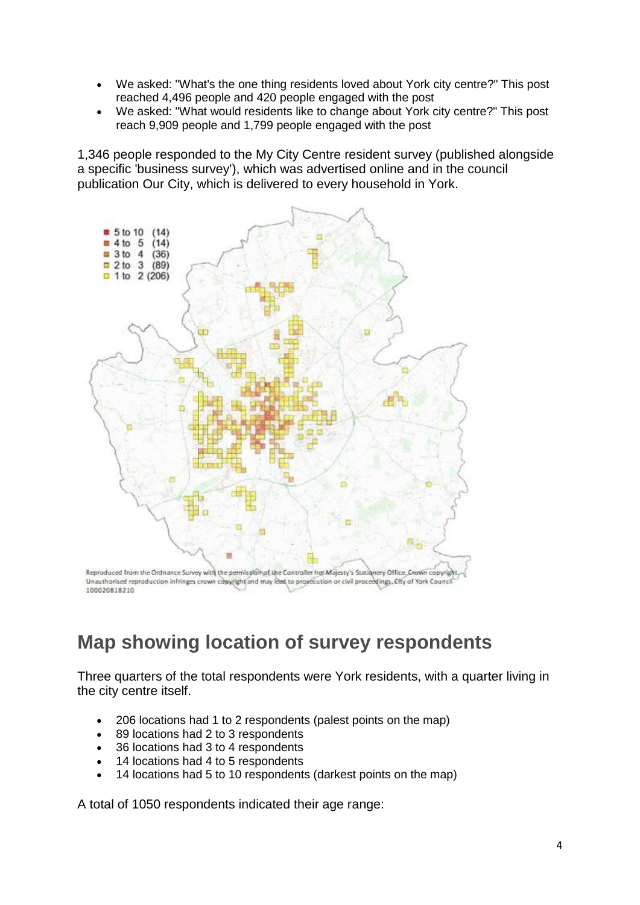- We asked: "What's the one thing residents loved about York city centre?" This post reached 4,496 people and 420 people engaged with the post
- We asked: "What would residents like to change about York city centre?" This post reach 9,909 people and 1,799 people engaged with the post

1,346 people responded to the My City Centre resident survey (published alongside a specific 'business survey'), which was advertised online and in the council publication Our City, which is delivered to every household in York.



# **Map showing location of survey respondents**

Three quarters of the total respondents were York residents, with a quarter living in the city centre itself.

- 206 locations had 1 to 2 respondents (palest points on the map)
- 89 locations had 2 to 3 respondents
- 36 locations had 3 to 4 respondents
- 14 locations had 4 to 5 respondents
- 14 locations had 5 to 10 respondents (darkest points on the map)

A total of 1050 respondents indicated their age range: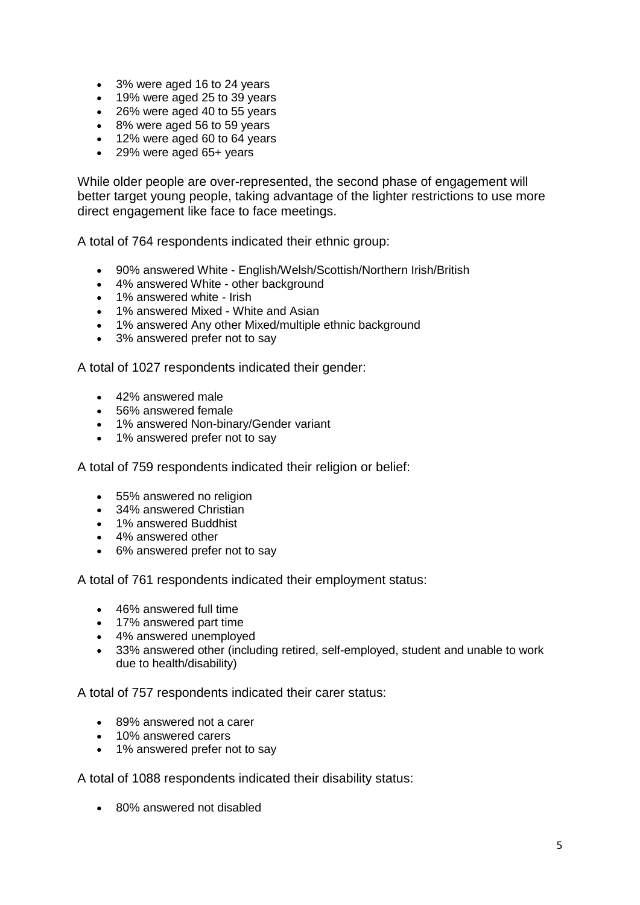- 3% were aged 16 to 24 years
- 19% were aged 25 to 39 years
- 26% were aged 40 to 55 years
- 8% were aged 56 to 59 years
- 12% were aged 60 to 64 years
- 29% were aged 65+ years

While older people are over-represented, the second phase of engagement will better target young people, taking advantage of the lighter restrictions to use more direct engagement like face to face meetings.

A total of 764 respondents indicated their ethnic group:

- 90% answered White English/Welsh/Scottish/Northern Irish/British
- 4% answered White other background
- 1% answered white Irish
- 1% answered Mixed White and Asian
- 1% answered Any other Mixed/multiple ethnic background
- 3% answered prefer not to say

A total of 1027 respondents indicated their gender:

- 42% answered male
- 56% answered female
- 1% answered Non-binary/Gender variant
- 1% answered prefer not to say

A total of 759 respondents indicated their religion or belief:

- 55% answered no religion
- 34% answered Christian
- 1% answered Buddhist
- 4% answered other
- 6% answered prefer not to say

A total of 761 respondents indicated their employment status:

- 46% answered full time
- 17% answered part time
- 4% answered unemployed
- 33% answered other (including retired, self-employed, student and unable to work due to health/disability)

A total of 757 respondents indicated their carer status:

- 89% answered not a carer
- 10% answered carers
- 1% answered prefer not to say

A total of 1088 respondents indicated their disability status:

80% answered not disabled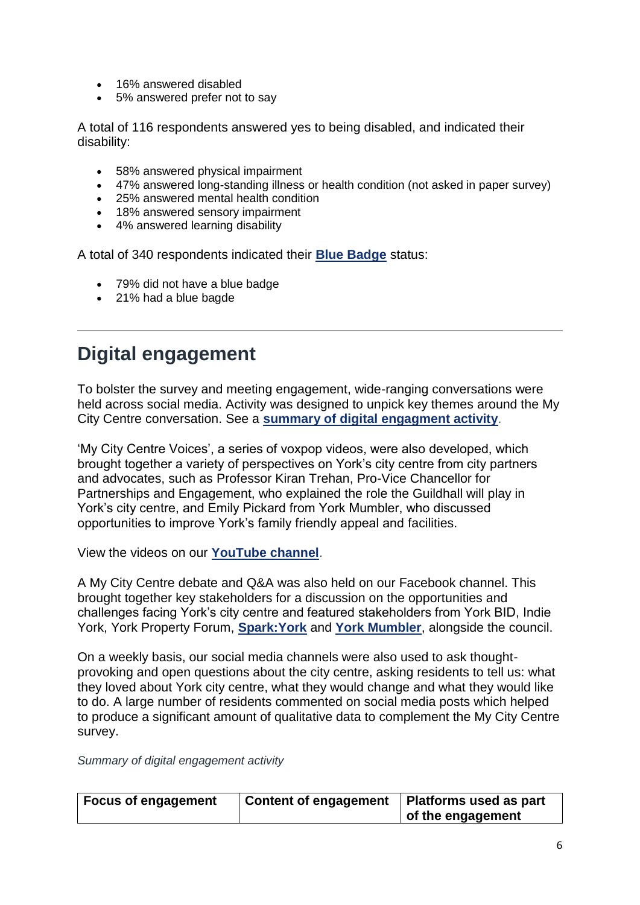- 16% answered disabled
- 5% answered prefer not to say

A total of 116 respondents answered yes to being disabled, and indicated their disability:

- 58% answered physical impairment
- 47% answered long-standing illness or health condition (not asked in paper survey)
- 25% answered mental health condition
- 18% answered sensory impairment
- 4% answered learning disability

A total of 340 respondents indicated their **[Blue Badge](https://www.york.gov.uk/BlueBadge)** status:

- 79% did not have a blue badge
- 21% had a blue bagde

# **Digital engagement**

To bolster the survey and meeting engagement, wide-ranging conversations were held across social media. Activity was designed to unpick key themes around the My City Centre conversation. See a **[summary of digital engagment activity](https://www.york.gov.uk/city-centre-york-2/city-centre-york-open-community-brief/2#summary)**.

'My City Centre Voices', a series of voxpop videos, were also developed, which brought together a variety of perspectives on York's city centre from city partners and advocates, such as Professor Kiran Trehan, Pro-Vice Chancellor for Partnerships and Engagement, who explained the role the Guildhall will play in York's city centre, and Emily Pickard from York Mumbler, who discussed opportunities to improve York's family friendly appeal and facilities.

View the videos on our **[YouTube channel](https://www.youtube.com/user/cityofyorkcouncil)**.

A My City Centre debate and Q&A was also held on our Facebook channel. This brought together key stakeholders for a discussion on the opportunities and challenges facing York's city centre and featured stakeholders from York BID, Indie York, York Property Forum, **[Spark:York](https://www.sparkyork.org/)** and **[York Mumbler](https://york.mumbler.co.uk/)**, alongside the council.

On a weekly basis, our social media channels were also used to ask thoughtprovoking and open questions about the city centre, asking residents to tell us: what they loved about York city centre, what they would change and what they would like to do. A large number of residents commented on social media posts which helped to produce a significant amount of qualitative data to complement the My City Centre survey.

*Summary of digital engagement activity*

| <b>Focus of engagement</b> | <b>Content of engagement</b> | Platforms used as part |
|----------------------------|------------------------------|------------------------|
|                            |                              | of the engagement      |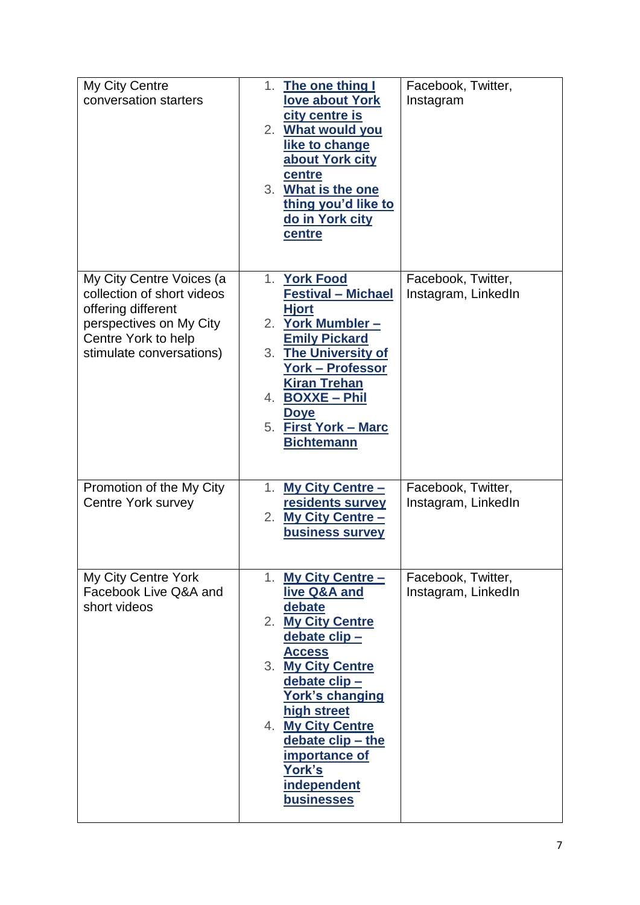| My City Centre<br>conversation starters                                                                                                                    | The one thing I<br>1.<br>love about York<br>city centre is<br>2. What would you<br>like to change<br>about York city<br>centre<br>3. What is the one<br>thing you'd like to<br>do in York city<br>centre                                                                                          | Facebook, Twitter,<br>Instagram           |
|------------------------------------------------------------------------------------------------------------------------------------------------------------|---------------------------------------------------------------------------------------------------------------------------------------------------------------------------------------------------------------------------------------------------------------------------------------------------|-------------------------------------------|
| My City Centre Voices (a<br>collection of short videos<br>offering different<br>perspectives on My City<br>Centre York to help<br>stimulate conversations) | 1. York Food<br><b>Festival - Michael</b><br><b>Hjort</b><br>2. York Mumbler -<br><b>Emily Pickard</b><br>3. The University of<br><b>York - Professor</b><br><b>Kiran Trehan</b><br>4. BOXXE - Phil<br><b>Doye</b><br>5. First York - Marc<br><b>Bichtemann</b>                                   | Facebook, Twitter,<br>Instagram, LinkedIn |
| Promotion of the My City<br><b>Centre York survey</b>                                                                                                      | <b>My City Centre -</b><br>1.<br>residents survey<br><b>My City Centre -</b><br>2.<br>business survey                                                                                                                                                                                             | Facebook, Twitter,<br>Instagram, LinkedIn |
| My City Centre York<br>Facebook Live Q&A and<br>short videos                                                                                               | 1. My City Centre -<br>live Q&A and<br>debate<br>2. My City Centre<br>debate clip-<br><b>Access</b><br>3. My City Centre<br>debate clip-<br><b>York's changing</b><br>high street<br>4. My City Centre<br>debate clip - the<br>importance of<br>York's<br><b>independent</b><br><b>businesses</b> | Facebook, Twitter,<br>Instagram, LinkedIn |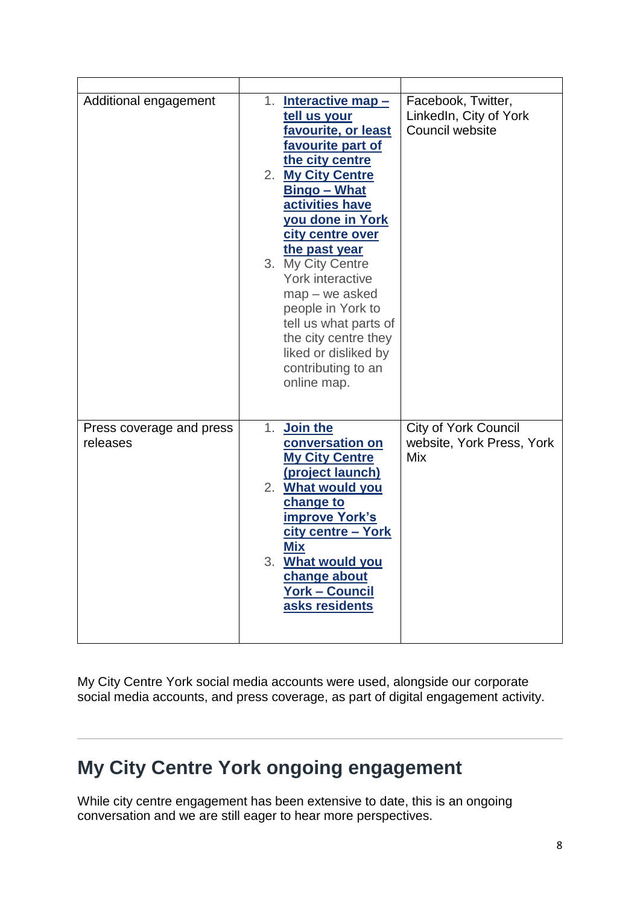| Additional engagement                | 1. Interactive map -<br>tell us your<br>favourite, or least<br>favourite part of<br>the city centre<br>2. My City Centre<br><b>Bingo - What</b><br>activities have<br><b>you done in York</b><br>city centre over<br>the past year<br>3. My City Centre<br>York interactive<br>$map - we asked$<br>people in York to<br>tell us what parts of<br>the city centre they<br>liked or disliked by<br>contributing to an<br>online map. | Facebook, Twitter,<br>LinkedIn, City of York<br>Council website |
|--------------------------------------|------------------------------------------------------------------------------------------------------------------------------------------------------------------------------------------------------------------------------------------------------------------------------------------------------------------------------------------------------------------------------------------------------------------------------------|-----------------------------------------------------------------|
| Press coverage and press<br>releases | 1. Join the<br>conversation on<br><b>My City Centre</b><br>(project launch)<br>2. What would you<br>change to<br><b>improve York's</b><br>city centre - York<br><u>Mix</u><br>3. What would you<br>change about<br><u> York – Council</u><br>asks residents                                                                                                                                                                        | <b>City of York Council</b><br>website, York Press, York<br>Mix |

My City Centre York social media accounts were used, alongside our corporate social media accounts, and press coverage, as part of digital engagement activity.

# **My City Centre York ongoing engagement**

While city centre engagement has been extensive to date, this is an ongoing conversation and we are still eager to hear more perspectives.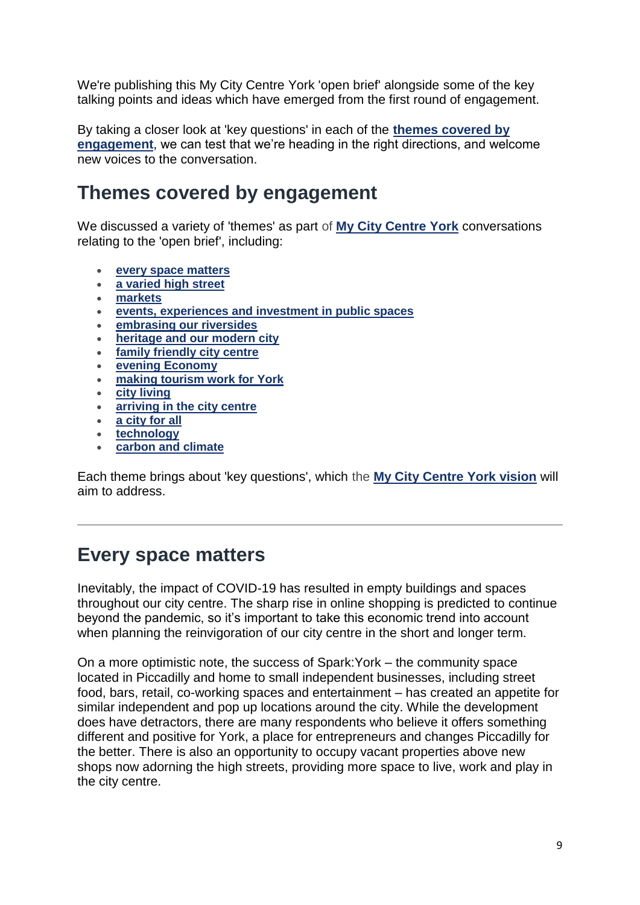We're publishing this My City Centre York 'open brief' alongside some of the key talking points and ideas which have emerged from the first round of engagement.

By taking a closer look at 'key questions' in each of the **[themes covered by](https://www.york.gov.uk/city-centre-york-2/city-centre-york-open-community-brief/3)  [engagement](https://www.york.gov.uk/city-centre-york-2/city-centre-york-open-community-brief/3)**, we can test that we're heading in the right directions, and welcome new voices to the conversation.

### **Themes covered by engagement**

We discussed a variety of 'themes' as part of **[My City Centre York](https://www.york.gov.uk/MyCityCentreYork)** conversations relating to the 'open brief', including:

- **[every space matters](https://www.york.gov.uk/city-centre-york-2/city-centre-york-open-community-brief/3#spaces)**
- **[a varied high street](https://www.york.gov.uk/city-centre-york-2/city-centre-york-open-community-brief/3#highstreet)**
- **[markets](https://www.york.gov.uk/city-centre-york-2/city-centre-york-open-community-brief/3#markets)**
- **[events, experiences and investment in public spaces](https://www.york.gov.uk/city-centre-york-2/city-centre-york-open-community-brief/3#experience)**
- **[embrasing our riversides](https://www.york.gov.uk/city-centre-york-2/city-centre-york-open-community-brief/3#riversides)**
- **[heritage and our modern city](https://www.york.gov.uk/city-centre-york-2/city-centre-york-open-community-brief/3#heritage)**
- **[family friendly city centre](https://www.york.gov.uk/city-centre-york-2/city-centre-york-open-community-brief/3#family)**
- **[evening Economy](https://www.york.gov.uk/city-centre-york-2/city-centre-york-open-community-brief/3#evening)**
- **[making tourism work for York](https://www.york.gov.uk/city-centre-york-2/city-centre-york-open-community-brief/3#tourism)**
- **[city living](https://www.york.gov.uk/city-centre-york-2/city-centre-york-open-community-brief/3#cityliving)**
- **[arriving in the city centre](https://www.york.gov.uk/city-centre-york-2/city-centre-york-open-community-brief/3#access)**
- **[a city for all](https://www.york.gov.uk/city-centre-york-2/city-centre-york-open-community-brief/3#all)**
- **[technology](https://www.york.gov.uk/city-centre-york-2/city-centre-york-open-community-brief/3#tech)**
- **[carbon and climate](https://www.york.gov.uk/city-centre-york-2/city-centre-york-open-community-brief/3#carbonclimate)**

Each theme brings about 'key questions', which the **[My City Centre York vision](https://www.york.gov.uk/MyCityCentreYorkVision)** will aim to address.

#### **Every space matters**

Inevitably, the impact of COVID-19 has resulted in empty buildings and spaces throughout our city centre. The sharp rise in online shopping is predicted to continue beyond the pandemic, so it's important to take this economic trend into account when planning the reinvigoration of our city centre in the short and longer term.

On a more optimistic note, the success of Spark:York – the community space located in Piccadilly and home to small independent businesses, including street food, bars, retail, co-working spaces and entertainment – has created an appetite for similar independent and pop up locations around the city. While the development does have detractors, there are many respondents who believe it offers something different and positive for York, a place for entrepreneurs and changes Piccadilly for the better. There is also an opportunity to occupy vacant properties above new shops now adorning the high streets, providing more space to live, work and play in the city centre.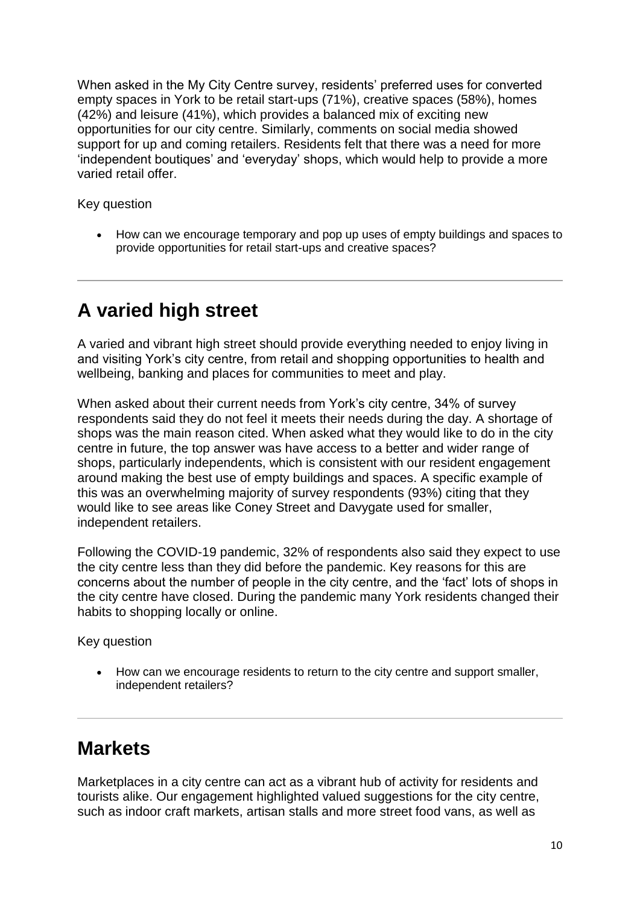When asked in the My City Centre survey, residents' preferred uses for converted empty spaces in York to be retail start-ups (71%), creative spaces (58%), homes (42%) and leisure (41%), which provides a balanced mix of exciting new opportunities for our city centre. Similarly, comments on social media showed support for up and coming retailers. Residents felt that there was a need for more 'independent boutiques' and 'everyday' shops, which would help to provide a more varied retail offer.

Key question

 How can we encourage temporary and pop up uses of empty buildings and spaces to provide opportunities for retail start-ups and creative spaces?

# **A varied high street**

A varied and vibrant high street should provide everything needed to enjoy living in and visiting York's city centre, from retail and shopping opportunities to health and wellbeing, banking and places for communities to meet and play.

When asked about their current needs from York's city centre, 34% of survey respondents said they do not feel it meets their needs during the day. A shortage of shops was the main reason cited. When asked what they would like to do in the city centre in future, the top answer was have access to a better and wider range of shops, particularly independents, which is consistent with our resident engagement around making the best use of empty buildings and spaces. A specific example of this was an overwhelming majority of survey respondents (93%) citing that they would like to see areas like Coney Street and Davygate used for smaller, independent retailers.

Following the COVID-19 pandemic, 32% of respondents also said they expect to use the city centre less than they did before the pandemic. Key reasons for this are concerns about the number of people in the city centre, and the 'fact' lots of shops in the city centre have closed. During the pandemic many York residents changed their habits to shopping locally or online.

Key question

 How can we encourage residents to return to the city centre and support smaller, independent retailers?

# **Markets**

Marketplaces in a city centre can act as a vibrant hub of activity for residents and tourists alike. Our engagement highlighted valued suggestions for the city centre, such as indoor craft markets, artisan stalls and more street food vans, as well as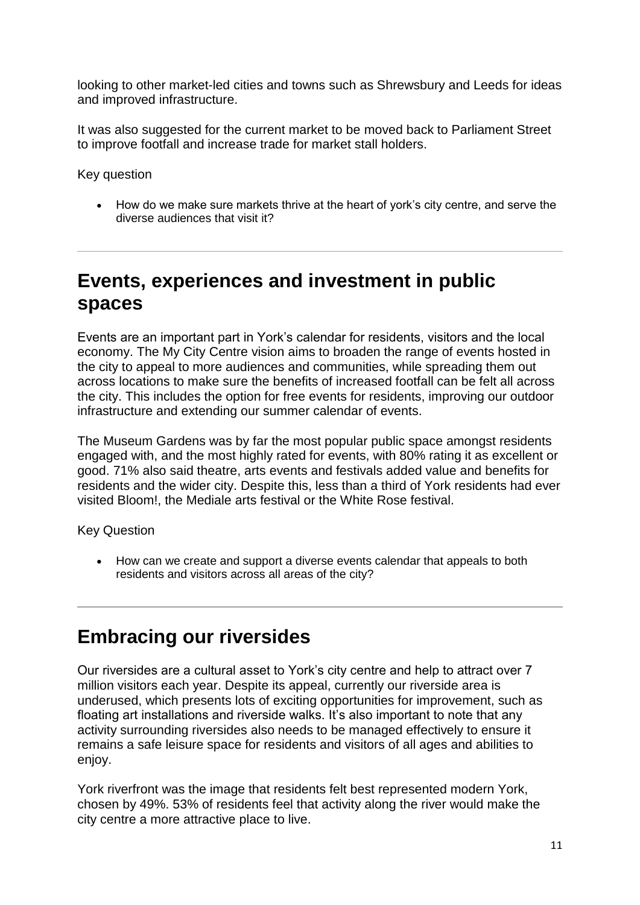looking to other market-led cities and towns such as Shrewsbury and Leeds for ideas and improved infrastructure.

It was also suggested for the current market to be moved back to Parliament Street to improve footfall and increase trade for market stall holders.

Key question

 How do we make sure markets thrive at the heart of york's city centre, and serve the diverse audiences that visit it?

### **Events, experiences and investment in public spaces**

Events are an important part in York's calendar for residents, visitors and the local economy. The My City Centre vision aims to broaden the range of events hosted in the city to appeal to more audiences and communities, while spreading them out across locations to make sure the benefits of increased footfall can be felt all across the city. This includes the option for free events for residents, improving our outdoor infrastructure and extending our summer calendar of events.

The Museum Gardens was by far the most popular public space amongst residents engaged with, and the most highly rated for events, with 80% rating it as excellent or good. 71% also said theatre, arts events and festivals added value and benefits for residents and the wider city. Despite this, less than a third of York residents had ever visited Bloom!, the Mediale arts festival or the White Rose festival.

Key Question

 How can we create and support a diverse events calendar that appeals to both residents and visitors across all areas of the city?

# **Embracing our riversides**

Our riversides are a cultural asset to York's city centre and help to attract over 7 million visitors each year. Despite its appeal, currently our riverside area is underused, which presents lots of exciting opportunities for improvement, such as floating art installations and riverside walks. It's also important to note that any activity surrounding riversides also needs to be managed effectively to ensure it remains a safe leisure space for residents and visitors of all ages and abilities to enjoy.

York riverfront was the image that residents felt best represented modern York, chosen by 49%. 53% of residents feel that activity along the river would make the city centre a more attractive place to live.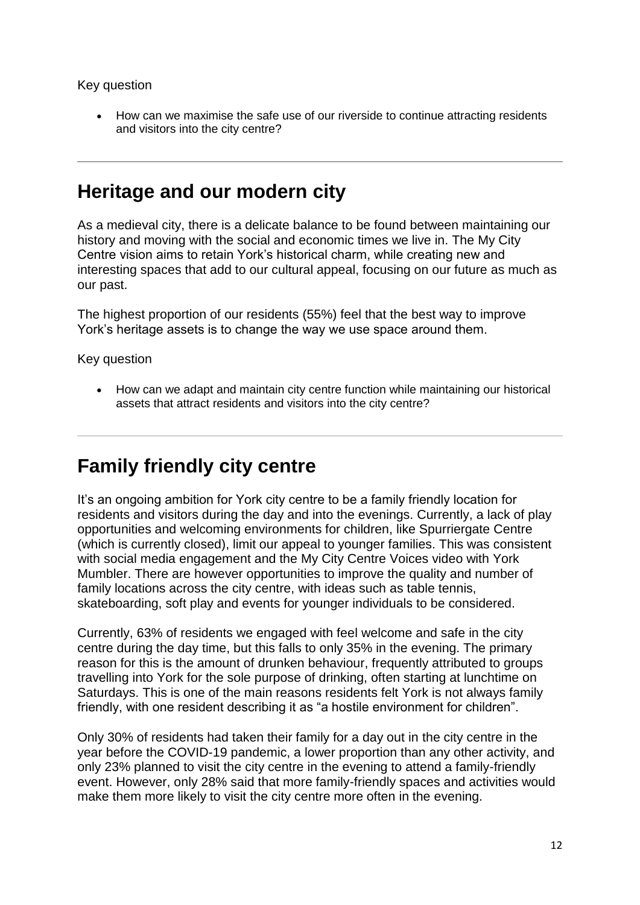Key question

 How can we maximise the safe use of our riverside to continue attracting residents and visitors into the city centre?

#### **Heritage and our modern city**

As a medieval city, there is a delicate balance to be found between maintaining our history and moving with the social and economic times we live in. The My City Centre vision aims to retain York's historical charm, while creating new and interesting spaces that add to our cultural appeal, focusing on our future as much as our past.

The highest proportion of our residents (55%) feel that the best way to improve York's heritage assets is to change the way we use space around them.

Key question

• How can we adapt and maintain city centre function while maintaining our historical assets that attract residents and visitors into the city centre?

# **Family friendly city centre**

It's an ongoing ambition for York city centre to be a family friendly location for residents and visitors during the day and into the evenings. Currently, a lack of play opportunities and welcoming environments for children, like Spurriergate Centre (which is currently closed), limit our appeal to younger families. This was consistent with social media engagement and the My City Centre Voices video with York Mumbler. There are however opportunities to improve the quality and number of family locations across the city centre, with ideas such as table tennis, skateboarding, soft play and events for younger individuals to be considered.

Currently, 63% of residents we engaged with feel welcome and safe in the city centre during the day time, but this falls to only 35% in the evening. The primary reason for this is the amount of drunken behaviour, frequently attributed to groups travelling into York for the sole purpose of drinking, often starting at lunchtime on Saturdays. This is one of the main reasons residents felt York is not always family friendly, with one resident describing it as "a hostile environment for children".

Only 30% of residents had taken their family for a day out in the city centre in the year before the COVID-19 pandemic, a lower proportion than any other activity, and only 23% planned to visit the city centre in the evening to attend a family-friendly event. However, only 28% said that more family-friendly spaces and activities would make them more likely to visit the city centre more often in the evening.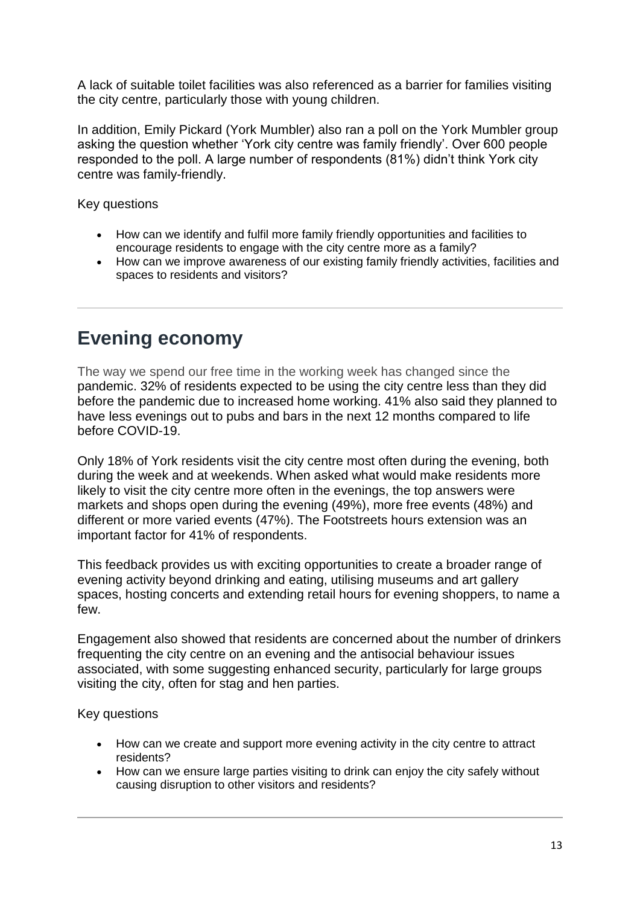A lack of suitable toilet facilities was also referenced as a barrier for families visiting the city centre, particularly those with young children.

In addition, Emily Pickard (York Mumbler) also ran a poll on the York Mumbler group asking the question whether 'York city centre was family friendly'. Over 600 people responded to the poll. A large number of respondents (81%) didn't think York city centre was family-friendly.

Key questions

- How can we identify and fulfil more family friendly opportunities and facilities to encourage residents to engage with the city centre more as a family?
- How can we improve awareness of our existing family friendly activities, facilities and spaces to residents and visitors?

# **Evening economy**

The way we spend our free time in the working week has changed since the pandemic. 32% of residents expected to be using the city centre less than they did before the pandemic due to increased home working. 41% also said they planned to have less evenings out to pubs and bars in the next 12 months compared to life before COVID-19.

Only 18% of York residents visit the city centre most often during the evening, both during the week and at weekends. When asked what would make residents more likely to visit the city centre more often in the evenings, the top answers were markets and shops open during the evening (49%), more free events (48%) and different or more varied events (47%). The Footstreets hours extension was an important factor for 41% of respondents.

This feedback provides us with exciting opportunities to create a broader range of evening activity beyond drinking and eating, utilising museums and art gallery spaces, hosting concerts and extending retail hours for evening shoppers, to name a few.

Engagement also showed that residents are concerned about the number of drinkers frequenting the city centre on an evening and the antisocial behaviour issues associated, with some suggesting enhanced security, particularly for large groups visiting the city, often for stag and hen parties.

Key questions

- How can we create and support more evening activity in the city centre to attract residents?
- How can we ensure large parties visiting to drink can enjoy the city safely without causing disruption to other visitors and residents?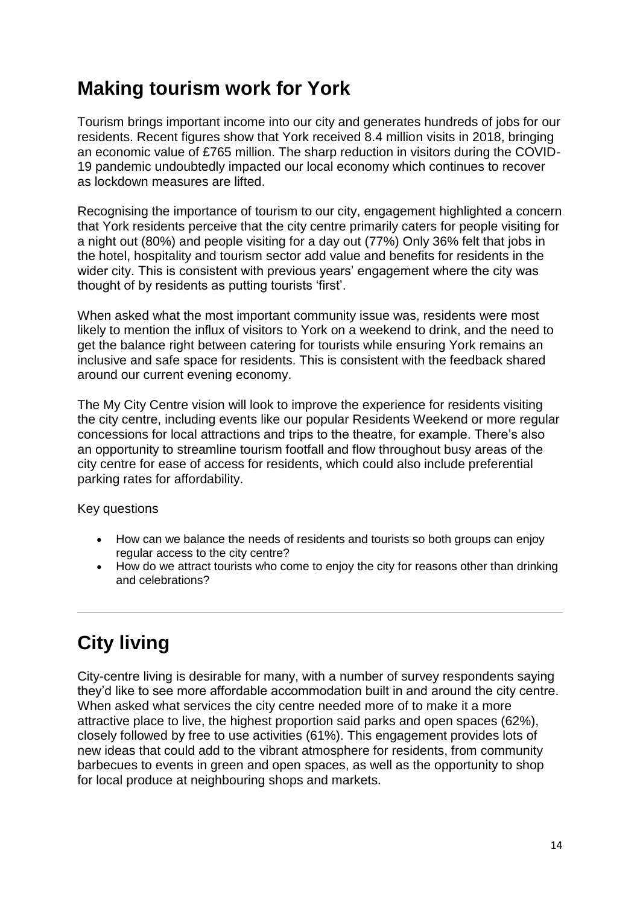# **Making tourism work for York**

Tourism brings important income into our city and generates hundreds of jobs for our residents. Recent figures show that York received 8.4 million visits in 2018, bringing an economic value of £765 million. The sharp reduction in visitors during the COVID-19 pandemic undoubtedly impacted our local economy which continues to recover as lockdown measures are lifted.

Recognising the importance of tourism to our city, engagement highlighted a concern that York residents perceive that the city centre primarily caters for people visiting for a night out (80%) and people visiting for a day out (77%) Only 36% felt that jobs in the hotel, hospitality and tourism sector add value and benefits for residents in the wider city. This is consistent with previous years' engagement where the city was thought of by residents as putting tourists 'first'.

When asked what the most important community issue was, residents were most likely to mention the influx of visitors to York on a weekend to drink, and the need to get the balance right between catering for tourists while ensuring York remains an inclusive and safe space for residents. This is consistent with the feedback shared around our current evening economy.

The My City Centre vision will look to improve the experience for residents visiting the city centre, including events like our popular Residents Weekend or more regular concessions for local attractions and trips to the theatre, for example. There's also an opportunity to streamline tourism footfall and flow throughout busy areas of the city centre for ease of access for residents, which could also include preferential parking rates for affordability.

Key questions

- How can we balance the needs of residents and tourists so both groups can enjoy regular access to the city centre?
- How do we attract tourists who come to enjoy the city for reasons other than drinking and celebrations?

# **City living**

City-centre living is desirable for many, with a number of survey respondents saying they'd like to see more affordable accommodation built in and around the city centre. When asked what services the city centre needed more of to make it a more attractive place to live, the highest proportion said parks and open spaces (62%), closely followed by free to use activities (61%). This engagement provides lots of new ideas that could add to the vibrant atmosphere for residents, from community barbecues to events in green and open spaces, as well as the opportunity to shop for local produce at neighbouring shops and markets.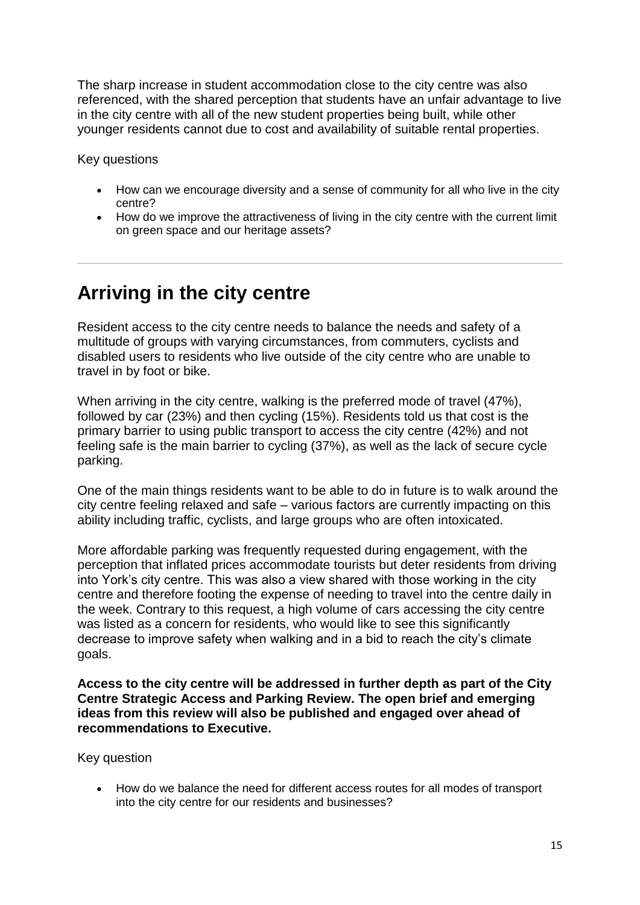The sharp increase in student accommodation close to the city centre was also referenced, with the shared perception that students have an unfair advantage to live in the city centre with all of the new student properties being built, while other younger residents cannot due to cost and availability of suitable rental properties.

Key questions

- How can we encourage diversity and a sense of community for all who live in the city centre?
- How do we improve the attractiveness of living in the city centre with the current limit on green space and our heritage assets?

### **Arriving in the city centre**

Resident access to the city centre needs to balance the needs and safety of a multitude of groups with varying circumstances, from commuters, cyclists and disabled users to residents who live outside of the city centre who are unable to travel in by foot or bike.

When arriving in the city centre, walking is the preferred mode of travel (47%), followed by car (23%) and then cycling (15%). Residents told us that cost is the primary barrier to using public transport to access the city centre (42%) and not feeling safe is the main barrier to cycling (37%), as well as the lack of secure cycle parking.

One of the main things residents want to be able to do in future is to walk around the city centre feeling relaxed and safe – various factors are currently impacting on this ability including traffic, cyclists, and large groups who are often intoxicated.

More affordable parking was frequently requested during engagement, with the perception that inflated prices accommodate tourists but deter residents from driving into York's city centre. This was also a view shared with those working in the city centre and therefore footing the expense of needing to travel into the centre daily in the week. Contrary to this request, a high volume of cars accessing the city centre was listed as a concern for residents, who would like to see this significantly decrease to improve safety when walking and in a bid to reach the city's climate goals.

**Access to the city centre will be addressed in further depth as part of the City Centre Strategic Access and Parking Review. The open brief and emerging ideas from this review will also be published and engaged over ahead of recommendations to Executive.**

Key question

 How do we balance the need for different access routes for all modes of transport into the city centre for our residents and businesses?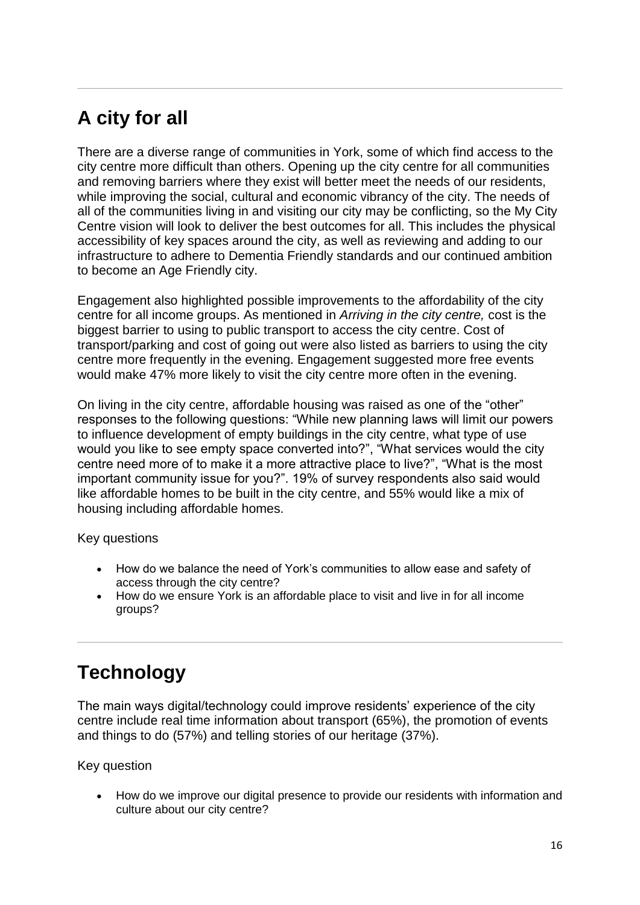# **A city for all**

There are a diverse range of communities in York, some of which find access to the city centre more difficult than others. Opening up the city centre for all communities and removing barriers where they exist will better meet the needs of our residents, while improving the social, cultural and economic vibrancy of the city. The needs of all of the communities living in and visiting our city may be conflicting, so the My City Centre vision will look to deliver the best outcomes for all. This includes the physical accessibility of key spaces around the city, as well as reviewing and adding to our infrastructure to adhere to Dementia Friendly standards and our continued ambition to become an Age Friendly city.

Engagement also highlighted possible improvements to the affordability of the city centre for all income groups. As mentioned in *Arriving in the city centre,* cost is the biggest barrier to using to public transport to access the city centre. Cost of transport/parking and cost of going out were also listed as barriers to using the city centre more frequently in the evening. Engagement suggested more free events would make 47% more likely to visit the city centre more often in the evening.

On living in the city centre, affordable housing was raised as one of the "other" responses to the following questions: "While new planning laws will limit our powers to influence development of empty buildings in the city centre, what type of use would you like to see empty space converted into?", "What services would the city centre need more of to make it a more attractive place to live?", "What is the most important community issue for you?". 19% of survey respondents also said would like affordable homes to be built in the city centre, and 55% would like a mix of housing including affordable homes.

Key questions

- How do we balance the need of York's communities to allow ease and safety of access through the city centre?
- How do we ensure York is an affordable place to visit and live in for all income groups?

# **Technology**

The main ways digital/technology could improve residents' experience of the city centre include real time information about transport (65%), the promotion of events and things to do (57%) and telling stories of our heritage (37%).

Key question

 How do we improve our digital presence to provide our residents with information and culture about our city centre?